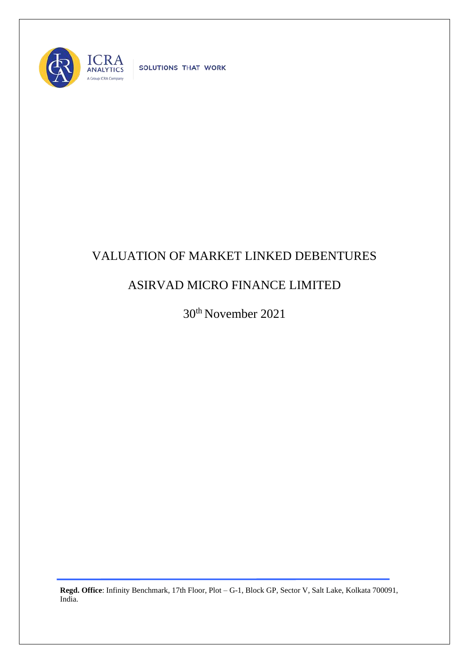

SOLUTIONS THAT WORK

## VALUATION OF MARKET LINKED DEBENTURES

## ASIRVAD MICRO FINANCE LIMITED

30th November 2021

**Regd. Office**: Infinity Benchmark, 17th Floor, Plot – G-1, Block GP, Sector V, Salt Lake, Kolkata 700091, India.